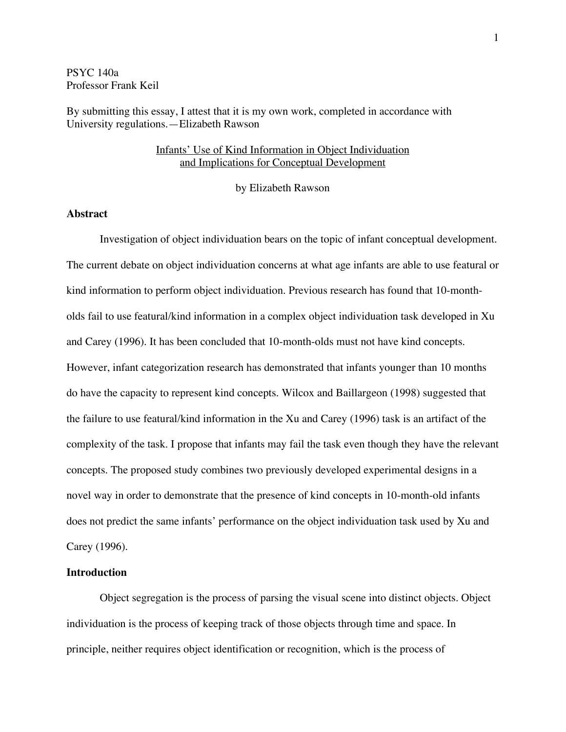PSYC 140a Professor Frank Keil

By submitting this essay, I attest that it is my own work, completed in accordance with University regulations.—Elizabeth Rawson

## Infants' Use of Kind Information in Object Individuation and Implications for Conceptual Development

by Elizabeth Rawson

## **Abstract**

Investigation of object individuation bears on the topic of infant conceptual development. The current debate on object individuation concerns at what age infants are able to use featural or kind information to perform object individuation. Previous research has found that 10-montholds fail to use featural/kind information in a complex object individuation task developed in Xu and Carey (1996). It has been concluded that 10-month-olds must not have kind concepts. However, infant categorization research has demonstrated that infants younger than 10 months do have the capacity to represent kind concepts. Wilcox and Baillargeon (1998) suggested that the failure to use featural/kind information in the Xu and Carey (1996) task is an artifact of the complexity of the task. I propose that infants may fail the task even though they have the relevant concepts. The proposed study combines two previously developed experimental designs in a novel way in order to demonstrate that the presence of kind concepts in 10-month-old infants does not predict the same infants' performance on the object individuation task used by Xu and Carey (1996).

#### **Introduction**

Object segregation is the process of parsing the visual scene into distinct objects. Object individuation is the process of keeping track of those objects through time and space. In principle, neither requires object identification or recognition, which is the process of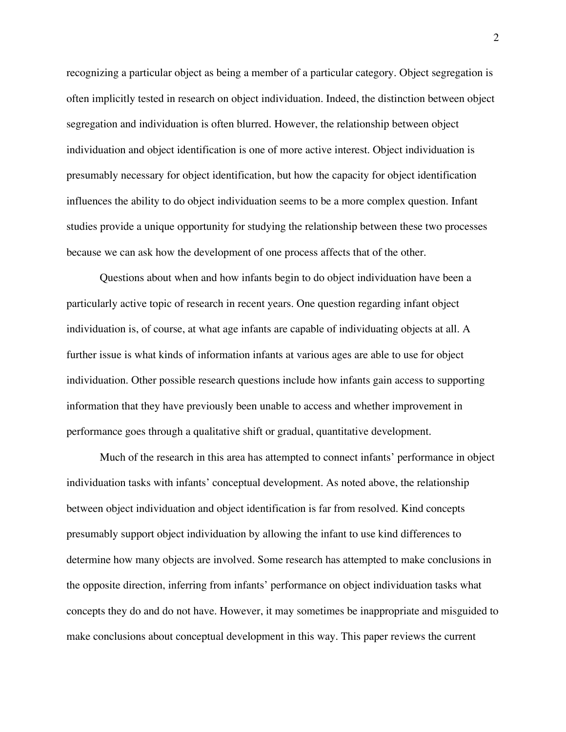recognizing a particular object as being a member of a particular category. Object segregation is often implicitly tested in research on object individuation. Indeed, the distinction between object segregation and individuation is often blurred. However, the relationship between object individuation and object identification is one of more active interest. Object individuation is presumably necessary for object identification, but how the capacity for object identification influences the ability to do object individuation seems to be a more complex question. Infant studies provide a unique opportunity for studying the relationship between these two processes because we can ask how the development of one process affects that of the other.

Questions about when and how infants begin to do object individuation have been a particularly active topic of research in recent years. One question regarding infant object individuation is, of course, at what age infants are capable of individuating objects at all. A further issue is what kinds of information infants at various ages are able to use for object individuation. Other possible research questions include how infants gain access to supporting information that they have previously been unable to access and whether improvement in performance goes through a qualitative shift or gradual, quantitative development.

Much of the research in this area has attempted to connect infants' performance in object individuation tasks with infants' conceptual development. As noted above, the relationship between object individuation and object identification is far from resolved. Kind concepts presumably support object individuation by allowing the infant to use kind differences to determine how many objects are involved. Some research has attempted to make conclusions in the opposite direction, inferring from infants' performance on object individuation tasks what concepts they do and do not have. However, it may sometimes be inappropriate and misguided to make conclusions about conceptual development in this way. This paper reviews the current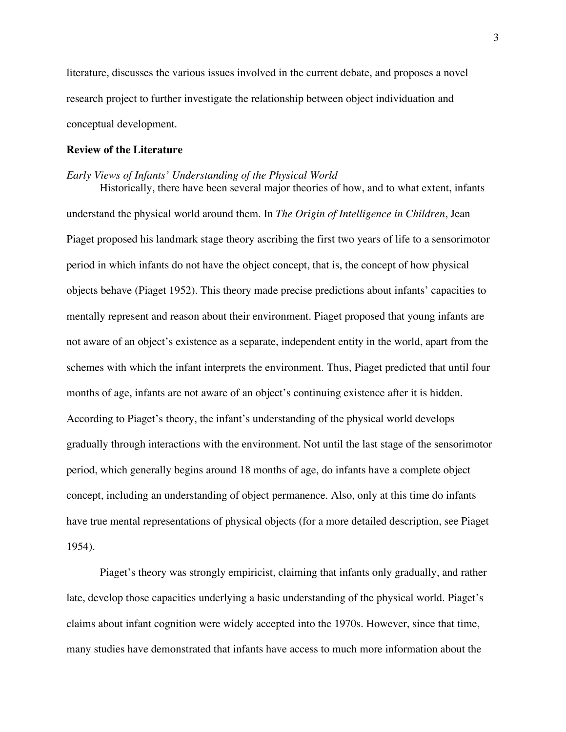literature, discusses the various issues involved in the current debate, and proposes a novel research project to further investigate the relationship between object individuation and conceptual development.

#### **Review of the Literature**

#### *Early Views of Infants' Understanding of the Physical World*

Historically, there have been several major theories of how, and to what extent, infants understand the physical world around them. In *The Origin of Intelligence in Children*, Jean Piaget proposed his landmark stage theory ascribing the first two years of life to a sensorimotor period in which infants do not have the object concept, that is, the concept of how physical objects behave (Piaget 1952). This theory made precise predictions about infants' capacities to mentally represent and reason about their environment. Piaget proposed that young infants are not aware of an object's existence as a separate, independent entity in the world, apart from the schemes with which the infant interprets the environment. Thus, Piaget predicted that until four months of age, infants are not aware of an object's continuing existence after it is hidden. According to Piaget's theory, the infant's understanding of the physical world develops gradually through interactions with the environment. Not until the last stage of the sensorimotor period, which generally begins around 18 months of age, do infants have a complete object concept, including an understanding of object permanence. Also, only at this time do infants have true mental representations of physical objects (for a more detailed description, see Piaget 1954).

Piaget's theory was strongly empiricist, claiming that infants only gradually, and rather late, develop those capacities underlying a basic understanding of the physical world. Piaget's claims about infant cognition were widely accepted into the 1970s. However, since that time, many studies have demonstrated that infants have access to much more information about the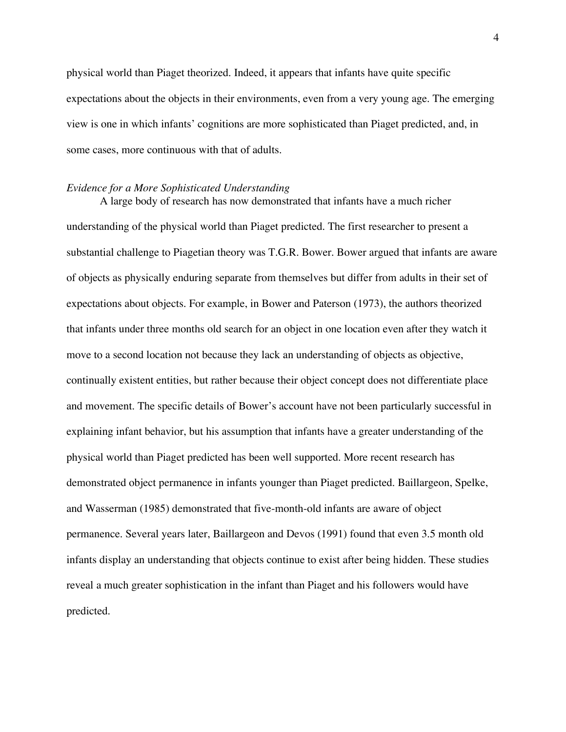physical world than Piaget theorized. Indeed, it appears that infants have quite specific expectations about the objects in their environments, even from a very young age. The emerging view is one in which infants' cognitions are more sophisticated than Piaget predicted, and, in some cases, more continuous with that of adults.

#### *Evidence for a More Sophisticated Understanding*

A large body of research has now demonstrated that infants have a much richer understanding of the physical world than Piaget predicted. The first researcher to present a substantial challenge to Piagetian theory was T.G.R. Bower. Bower argued that infants are aware of objects as physically enduring separate from themselves but differ from adults in their set of expectations about objects. For example, in Bower and Paterson (1973), the authors theorized that infants under three months old search for an object in one location even after they watch it move to a second location not because they lack an understanding of objects as objective, continually existent entities, but rather because their object concept does not differentiate place and movement. The specific details of Bower's account have not been particularly successful in explaining infant behavior, but his assumption that infants have a greater understanding of the physical world than Piaget predicted has been well supported. More recent research has demonstrated object permanence in infants younger than Piaget predicted. Baillargeon, Spelke, and Wasserman (1985) demonstrated that five-month-old infants are aware of object permanence. Several years later, Baillargeon and Devos (1991) found that even 3.5 month old infants display an understanding that objects continue to exist after being hidden. These studies reveal a much greater sophistication in the infant than Piaget and his followers would have predicted.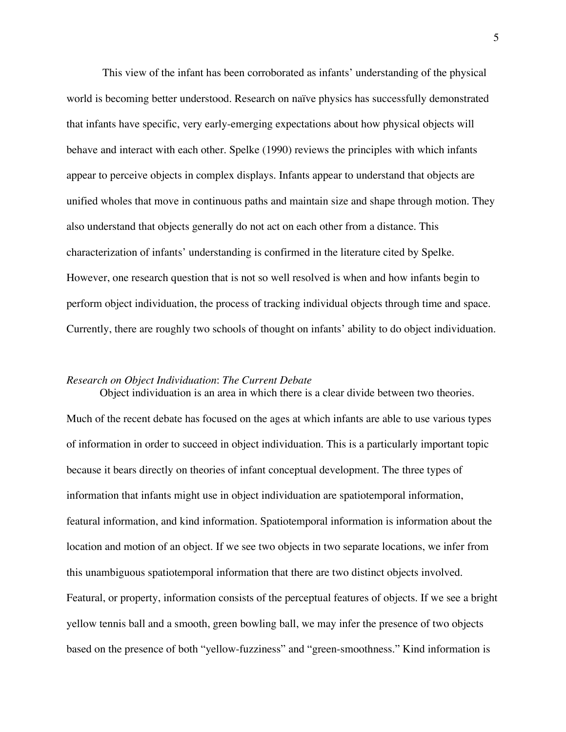This view of the infant has been corroborated as infants' understanding of the physical world is becoming better understood. Research on naïve physics has successfully demonstrated that infants have specific, very early-emerging expectations about how physical objects will behave and interact with each other. Spelke (1990) reviews the principles with which infants appear to perceive objects in complex displays. Infants appear to understand that objects are unified wholes that move in continuous paths and maintain size and shape through motion. They also understand that objects generally do not act on each other from a distance. This characterization of infants' understanding is confirmed in the literature cited by Spelke. However, one research question that is not so well resolved is when and how infants begin to perform object individuation, the process of tracking individual objects through time and space. Currently, there are roughly two schools of thought on infants' ability to do object individuation.

#### *Research on Object Individuation*: *The Current Debate*

Much of the recent debate has focused on the ages at which infants are able to use various types of information in order to succeed in object individuation. This is a particularly important topic because it bears directly on theories of infant conceptual development. The three types of information that infants might use in object individuation are spatiotemporal information, featural information, and kind information. Spatiotemporal information is information about the location and motion of an object. If we see two objects in two separate locations, we infer from this unambiguous spatiotemporal information that there are two distinct objects involved. Featural, or property, information consists of the perceptual features of objects. If we see a bright yellow tennis ball and a smooth, green bowling ball, we may infer the presence of two objects based on the presence of both "yellow-fuzziness" and "green-smoothness." Kind information is

Object individuation is an area in which there is a clear divide between two theories.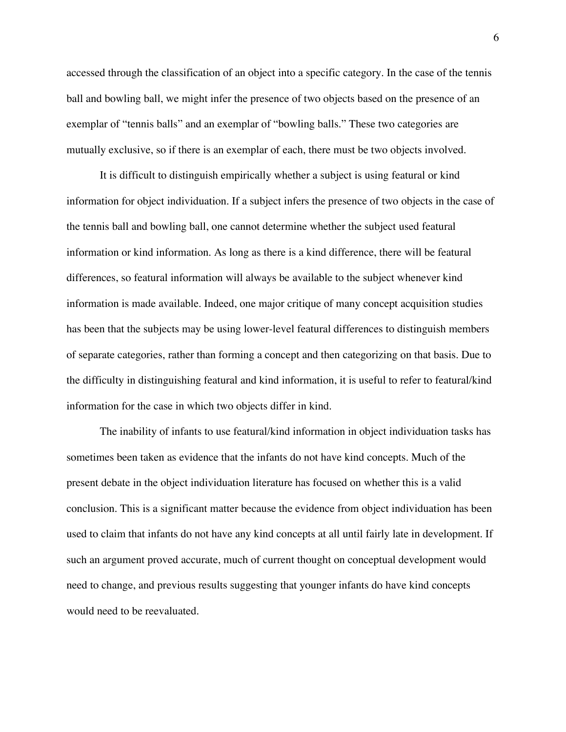accessed through the classification of an object into a specific category. In the case of the tennis ball and bowling ball, we might infer the presence of two objects based on the presence of an exemplar of "tennis balls" and an exemplar of "bowling balls." These two categories are mutually exclusive, so if there is an exemplar of each, there must be two objects involved.

It is difficult to distinguish empirically whether a subject is using featural or kind information for object individuation. If a subject infers the presence of two objects in the case of the tennis ball and bowling ball, one cannot determine whether the subject used featural information or kind information. As long as there is a kind difference, there will be featural differences, so featural information will always be available to the subject whenever kind information is made available. Indeed, one major critique of many concept acquisition studies has been that the subjects may be using lower-level featural differences to distinguish members of separate categories, rather than forming a concept and then categorizing on that basis. Due to the difficulty in distinguishing featural and kind information, it is useful to refer to featural/kind information for the case in which two objects differ in kind.

The inability of infants to use featural/kind information in object individuation tasks has sometimes been taken as evidence that the infants do not have kind concepts. Much of the present debate in the object individuation literature has focused on whether this is a valid conclusion. This is a significant matter because the evidence from object individuation has been used to claim that infants do not have any kind concepts at all until fairly late in development. If such an argument proved accurate, much of current thought on conceptual development would need to change, and previous results suggesting that younger infants do have kind concepts would need to be reevaluated.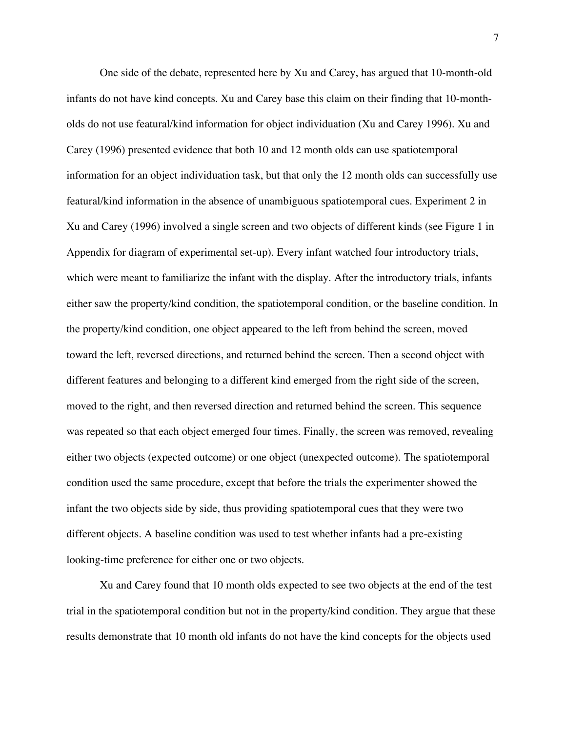One side of the debate, represented here by Xu and Carey, has argued that 10-month-old infants do not have kind concepts. Xu and Carey base this claim on their finding that 10-montholds do not use featural/kind information for object individuation (Xu and Carey 1996). Xu and Carey (1996) presented evidence that both 10 and 12 month olds can use spatiotemporal information for an object individuation task, but that only the 12 month olds can successfully use featural/kind information in the absence of unambiguous spatiotemporal cues. Experiment 2 in Xu and Carey (1996) involved a single screen and two objects of different kinds (see Figure 1 in Appendix for diagram of experimental set-up). Every infant watched four introductory trials, which were meant to familiarize the infant with the display. After the introductory trials, infants either saw the property/kind condition, the spatiotemporal condition, or the baseline condition. In the property/kind condition, one object appeared to the left from behind the screen, moved toward the left, reversed directions, and returned behind the screen. Then a second object with different features and belonging to a different kind emerged from the right side of the screen, moved to the right, and then reversed direction and returned behind the screen. This sequence was repeated so that each object emerged four times. Finally, the screen was removed, revealing either two objects (expected outcome) or one object (unexpected outcome). The spatiotemporal condition used the same procedure, except that before the trials the experimenter showed the infant the two objects side by side, thus providing spatiotemporal cues that they were two different objects. A baseline condition was used to test whether infants had a pre-existing looking-time preference for either one or two objects.

Xu and Carey found that 10 month olds expected to see two objects at the end of the test trial in the spatiotemporal condition but not in the property/kind condition. They argue that these results demonstrate that 10 month old infants do not have the kind concepts for the objects used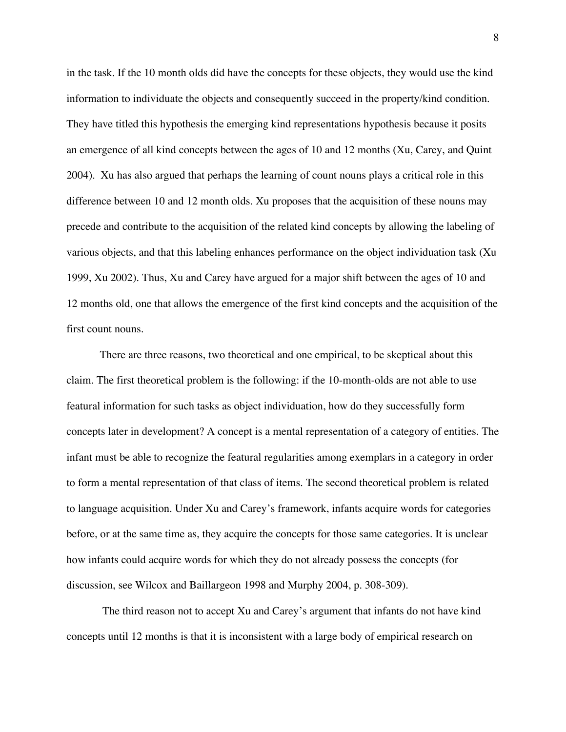in the task. If the 10 month olds did have the concepts for these objects, they would use the kind information to individuate the objects and consequently succeed in the property/kind condition. They have titled this hypothesis the emerging kind representations hypothesis because it posits an emergence of all kind concepts between the ages of 10 and 12 months (Xu, Carey, and Quint 2004). Xu has also argued that perhaps the learning of count nouns plays a critical role in this difference between 10 and 12 month olds. Xu proposes that the acquisition of these nouns may precede and contribute to the acquisition of the related kind concepts by allowing the labeling of various objects, and that this labeling enhances performance on the object individuation task (Xu 1999, Xu 2002). Thus, Xu and Carey have argued for a major shift between the ages of 10 and 12 months old, one that allows the emergence of the first kind concepts and the acquisition of the first count nouns.

There are three reasons, two theoretical and one empirical, to be skeptical about this claim. The first theoretical problem is the following: if the 10-month-olds are not able to use featural information for such tasks as object individuation, how do they successfully form concepts later in development? A concept is a mental representation of a category of entities. The infant must be able to recognize the featural regularities among exemplars in a category in order to form a mental representation of that class of items. The second theoretical problem is related to language acquisition. Under Xu and Carey's framework, infants acquire words for categories before, or at the same time as, they acquire the concepts for those same categories. It is unclear how infants could acquire words for which they do not already possess the concepts (for discussion, see Wilcox and Baillargeon 1998 and Murphy 2004, p. 308-309).

The third reason not to accept Xu and Carey's argument that infants do not have kind concepts until 12 months is that it is inconsistent with a large body of empirical research on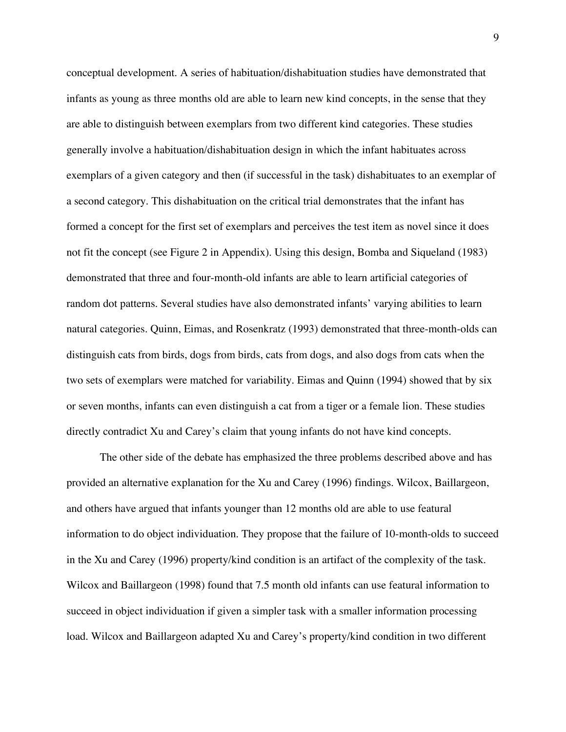conceptual development. A series of habituation/dishabituation studies have demonstrated that infants as young as three months old are able to learn new kind concepts, in the sense that they are able to distinguish between exemplars from two different kind categories. These studies generally involve a habituation/dishabituation design in which the infant habituates across exemplars of a given category and then (if successful in the task) dishabituates to an exemplar of a second category. This dishabituation on the critical trial demonstrates that the infant has formed a concept for the first set of exemplars and perceives the test item as novel since it does not fit the concept (see Figure 2 in Appendix). Using this design, Bomba and Siqueland (1983) demonstrated that three and four-month-old infants are able to learn artificial categories of random dot patterns. Several studies have also demonstrated infants' varying abilities to learn natural categories. Quinn, Eimas, and Rosenkratz (1993) demonstrated that three-month-olds can distinguish cats from birds, dogs from birds, cats from dogs, and also dogs from cats when the two sets of exemplars were matched for variability. Eimas and Quinn (1994) showed that by six or seven months, infants can even distinguish a cat from a tiger or a female lion. These studies directly contradict Xu and Carey's claim that young infants do not have kind concepts.

The other side of the debate has emphasized the three problems described above and has provided an alternative explanation for the Xu and Carey (1996) findings. Wilcox, Baillargeon, and others have argued that infants younger than 12 months old are able to use featural information to do object individuation. They propose that the failure of 10-month-olds to succeed in the Xu and Carey (1996) property/kind condition is an artifact of the complexity of the task. Wilcox and Baillargeon (1998) found that 7.5 month old infants can use featural information to succeed in object individuation if given a simpler task with a smaller information processing load. Wilcox and Baillargeon adapted Xu and Carey's property/kind condition in two different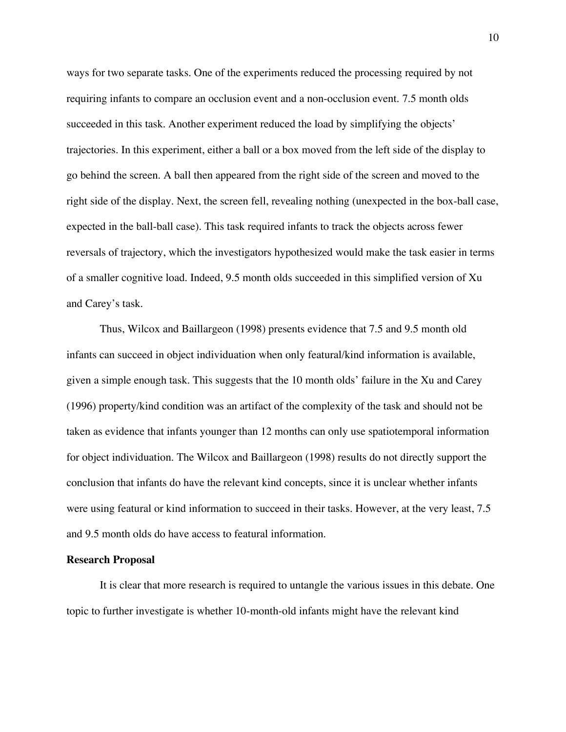ways for two separate tasks. One of the experiments reduced the processing required by not requiring infants to compare an occlusion event and a non-occlusion event. 7.5 month olds succeeded in this task. Another experiment reduced the load by simplifying the objects' trajectories. In this experiment, either a ball or a box moved from the left side of the display to go behind the screen. A ball then appeared from the right side of the screen and moved to the right side of the display. Next, the screen fell, revealing nothing (unexpected in the box-ball case, expected in the ball-ball case). This task required infants to track the objects across fewer reversals of trajectory, which the investigators hypothesized would make the task easier in terms of a smaller cognitive load. Indeed, 9.5 month olds succeeded in this simplified version of Xu and Carey's task.

Thus, Wilcox and Baillargeon (1998) presents evidence that 7.5 and 9.5 month old infants can succeed in object individuation when only featural/kind information is available, given a simple enough task. This suggests that the 10 month olds' failure in the Xu and Carey (1996) property/kind condition was an artifact of the complexity of the task and should not be taken as evidence that infants younger than 12 months can only use spatiotemporal information for object individuation. The Wilcox and Baillargeon (1998) results do not directly support the conclusion that infants do have the relevant kind concepts, since it is unclear whether infants were using featural or kind information to succeed in their tasks. However, at the very least, 7.5 and 9.5 month olds do have access to featural information.

#### **Research Proposal**

It is clear that more research is required to untangle the various issues in this debate. One topic to further investigate is whether 10-month-old infants might have the relevant kind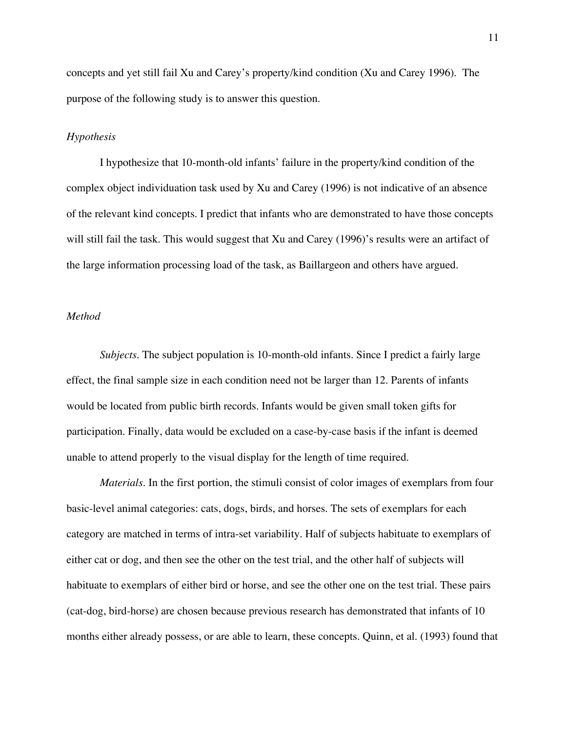concepts and yet still fail Xu and Carey's property/kind condition (Xu and Carey 1996). The purpose of the following study is to answer this question.

## *Hypothesis*

I hypothesize that 10-month-old infants' failure in the property/kind condition of the complex object individuation task used by Xu and Carey (1996) is not indicative of an absence of the relevant kind concepts. I predict that infants who are demonstrated to have those concepts will still fail the task. This would suggest that Xu and Carey (1996)'s results were an artifact of the large information processing load of the task, as Baillargeon and others have argued.

## *Method*

*Subjects.* The subject population is 10-month-old infants. Since I predict a fairly large effect, the final sample size in each condition need not be larger than 12. Parents of infants would be located from public birth records. Infants would be given small token gifts for participation. Finally, data would be excluded on a case-by-case basis if the infant is deemed unable to attend properly to the visual display for the length of time required.

*Materials.* In the first portion, the stimuli consist of color images of exemplars from four basic-level animal categories: cats, dogs, birds, and horses. The sets of exemplars for each category are matched in terms of intra-set variability. Half of subjects habituate to exemplars of either cat or dog, and then see the other on the test trial, and the other half of subjects will habituate to exemplars of either bird or horse, and see the other one on the test trial. These pairs (cat-dog, bird-horse) are chosen because previous research has demonstrated that infants of 10 months either already possess, or are able to learn, these concepts. Quinn, et al. (1993) found that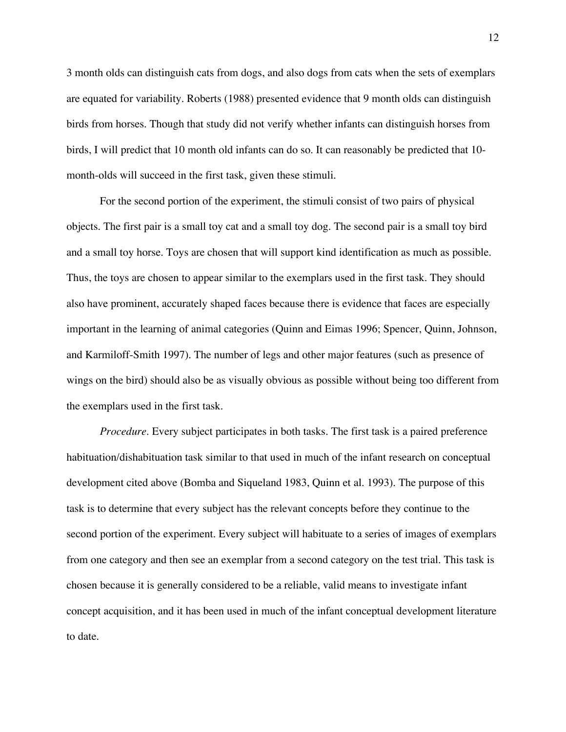3 month olds can distinguish cats from dogs, and also dogs from cats when the sets of exemplars are equated for variability. Roberts (1988) presented evidence that 9 month olds can distinguish birds from horses. Though that study did not verify whether infants can distinguish horses from birds, I will predict that 10 month old infants can do so. It can reasonably be predicted that 10 month-olds will succeed in the first task, given these stimuli.

For the second portion of the experiment, the stimuli consist of two pairs of physical objects. The first pair is a small toy cat and a small toy dog. The second pair is a small toy bird and a small toy horse. Toys are chosen that will support kind identification as much as possible. Thus, the toys are chosen to appear similar to the exemplars used in the first task. They should also have prominent, accurately shaped faces because there is evidence that faces are especially important in the learning of animal categories (Quinn and Eimas 1996; Spencer, Quinn, Johnson, and Karmiloff-Smith 1997). The number of legs and other major features (such as presence of wings on the bird) should also be as visually obvious as possible without being too different from the exemplars used in the first task.

*Procedure*. Every subject participates in both tasks. The first task is a paired preference habituation/dishabituation task similar to that used in much of the infant research on conceptual development cited above (Bomba and Siqueland 1983, Quinn et al. 1993). The purpose of this task is to determine that every subject has the relevant concepts before they continue to the second portion of the experiment. Every subject will habituate to a series of images of exemplars from one category and then see an exemplar from a second category on the test trial. This task is chosen because it is generally considered to be a reliable, valid means to investigate infant concept acquisition, and it has been used in much of the infant conceptual development literature to date.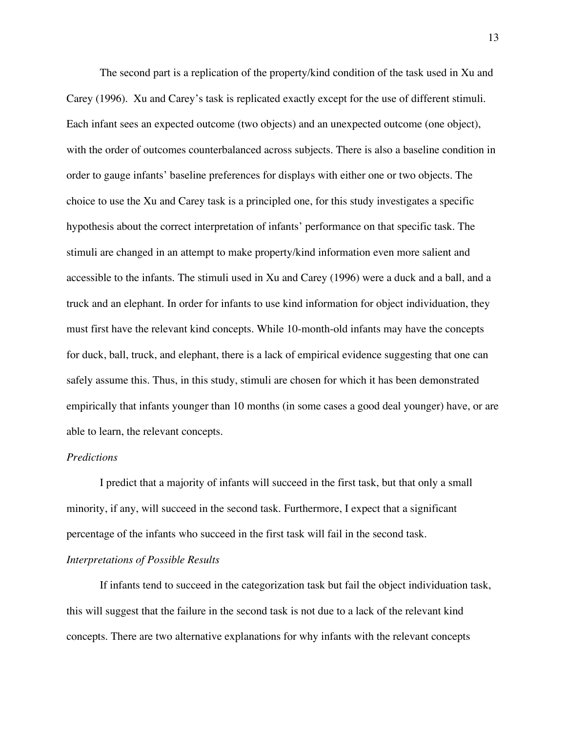The second part is a replication of the property/kind condition of the task used in Xu and Carey (1996). Xu and Carey's task is replicated exactly except for the use of different stimuli. Each infant sees an expected outcome (two objects) and an unexpected outcome (one object), with the order of outcomes counterbalanced across subjects. There is also a baseline condition in order to gauge infants' baseline preferences for displays with either one or two objects. The choice to use the Xu and Carey task is a principled one, for this study investigates a specific hypothesis about the correct interpretation of infants' performance on that specific task. The stimuli are changed in an attempt to make property/kind information even more salient and accessible to the infants. The stimuli used in Xu and Carey (1996) were a duck and a ball, and a truck and an elephant. In order for infants to use kind information for object individuation, they must first have the relevant kind concepts. While 10-month-old infants may have the concepts for duck, ball, truck, and elephant, there is a lack of empirical evidence suggesting that one can safely assume this. Thus, in this study, stimuli are chosen for which it has been demonstrated empirically that infants younger than 10 months (in some cases a good deal younger) have, or are able to learn, the relevant concepts.

## *Predictions*

I predict that a majority of infants will succeed in the first task, but that only a small minority, if any, will succeed in the second task. Furthermore, I expect that a significant percentage of the infants who succeed in the first task will fail in the second task. *Interpretations of Possible Results*

If infants tend to succeed in the categorization task but fail the object individuation task, this will suggest that the failure in the second task is not due to a lack of the relevant kind concepts. There are two alternative explanations for why infants with the relevant concepts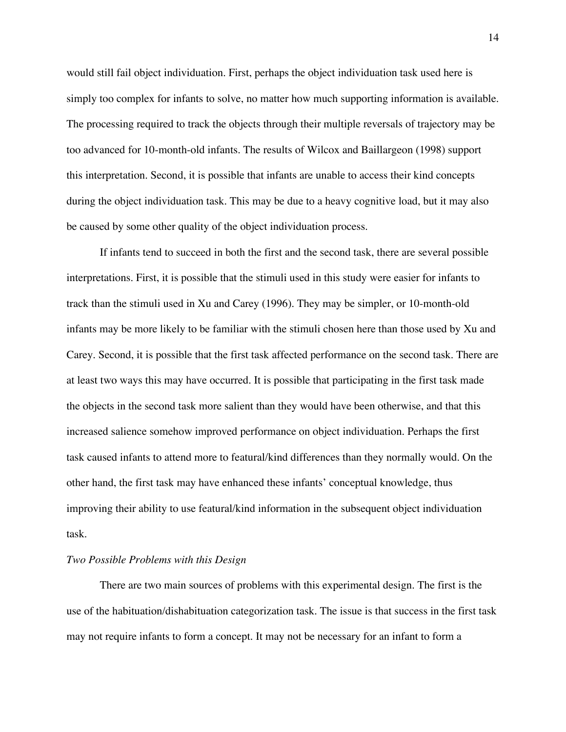would still fail object individuation. First, perhaps the object individuation task used here is simply too complex for infants to solve, no matter how much supporting information is available. The processing required to track the objects through their multiple reversals of trajectory may be too advanced for 10-month-old infants. The results of Wilcox and Baillargeon (1998) support this interpretation. Second, it is possible that infants are unable to access their kind concepts during the object individuation task. This may be due to a heavy cognitive load, but it may also be caused by some other quality of the object individuation process.

If infants tend to succeed in both the first and the second task, there are several possible interpretations. First, it is possible that the stimuli used in this study were easier for infants to track than the stimuli used in Xu and Carey (1996). They may be simpler, or 10-month-old infants may be more likely to be familiar with the stimuli chosen here than those used by Xu and Carey. Second, it is possible that the first task affected performance on the second task. There are at least two ways this may have occurred. It is possible that participating in the first task made the objects in the second task more salient than they would have been otherwise, and that this increased salience somehow improved performance on object individuation. Perhaps the first task caused infants to attend more to featural/kind differences than they normally would. On the other hand, the first task may have enhanced these infants' conceptual knowledge, thus improving their ability to use featural/kind information in the subsequent object individuation task.

## *Two Possible Problems with this Design*

There are two main sources of problems with this experimental design. The first is the use of the habituation/dishabituation categorization task. The issue is that success in the first task may not require infants to form a concept. It may not be necessary for an infant to form a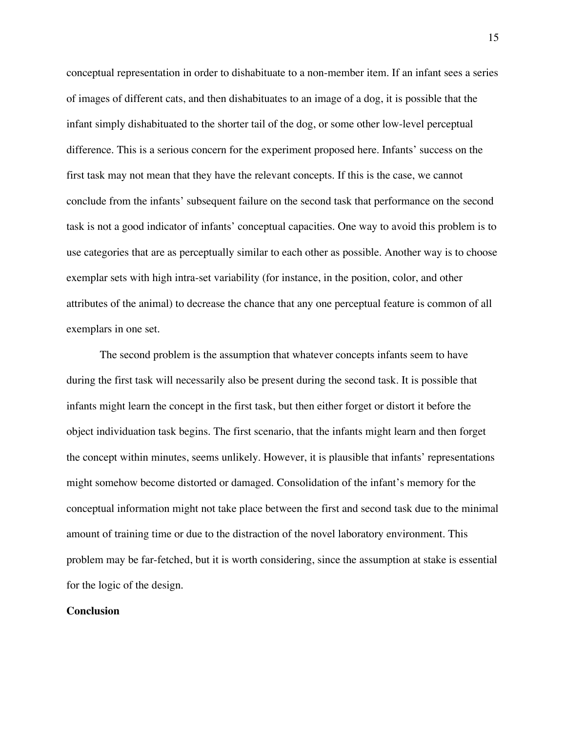conceptual representation in order to dishabituate to a non-member item. If an infant sees a series of images of different cats, and then dishabituates to an image of a dog, it is possible that the infant simply dishabituated to the shorter tail of the dog, or some other low-level perceptual difference. This is a serious concern for the experiment proposed here. Infants' success on the first task may not mean that they have the relevant concepts. If this is the case, we cannot conclude from the infants' subsequent failure on the second task that performance on the second task is not a good indicator of infants' conceptual capacities. One way to avoid this problem is to use categories that are as perceptually similar to each other as possible. Another way is to choose exemplar sets with high intra-set variability (for instance, in the position, color, and other attributes of the animal) to decrease the chance that any one perceptual feature is common of all exemplars in one set.

The second problem is the assumption that whatever concepts infants seem to have during the first task will necessarily also be present during the second task. It is possible that infants might learn the concept in the first task, but then either forget or distort it before the object individuation task begins. The first scenario, that the infants might learn and then forget the concept within minutes, seems unlikely. However, it is plausible that infants' representations might somehow become distorted or damaged. Consolidation of the infant's memory for the conceptual information might not take place between the first and second task due to the minimal amount of training time or due to the distraction of the novel laboratory environment. This problem may be far-fetched, but it is worth considering, since the assumption at stake is essential for the logic of the design.

#### **Conclusion**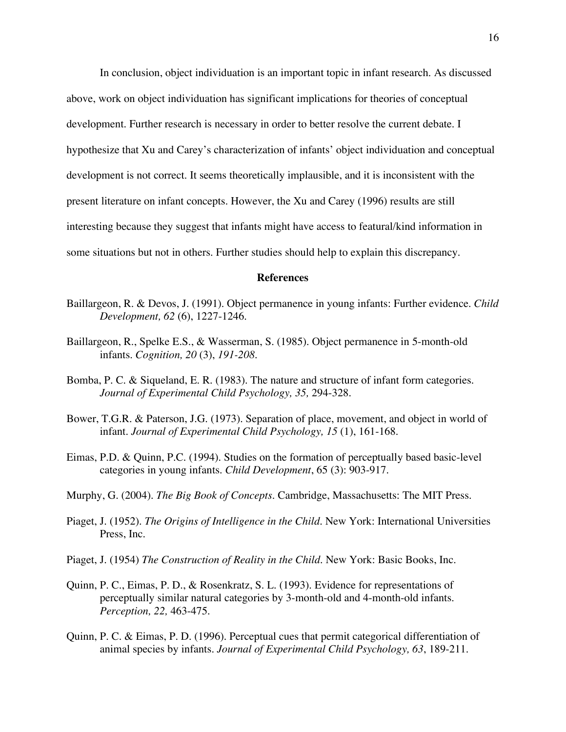In conclusion, object individuation is an important topic in infant research. As discussed above, work on object individuation has significant implications for theories of conceptual development. Further research is necessary in order to better resolve the current debate. I hypothesize that Xu and Carey's characterization of infants' object individuation and conceptual development is not correct. It seems theoretically implausible, and it is inconsistent with the present literature on infant concepts. However, the Xu and Carey (1996) results are still interesting because they suggest that infants might have access to featural/kind information in some situations but not in others. Further studies should help to explain this discrepancy.

#### **References**

- Baillargeon, R. & Devos, J. (1991). Object permanence in young infants: Further evidence. *Child Development, 62* (6), 1227-1246.
- Baillargeon, R., Spelke E.S., & Wasserman, S. (1985). Object permanence in 5-month-old infants. *Cognition, 20* (3), *191-208.*
- Bomba, P. C. & Siqueland, E. R. (1983). The nature and structure of infant form categories. *Journal of Experimental Child Psychology, 35,* 294-328.
- Bower, T.G.R. & Paterson, J.G. (1973). Separation of place, movement, and object in world of infant. *Journal of Experimental Child Psychology, 15* (1), 161-168.
- Eimas, P.D. & Quinn, P.C. (1994). Studies on the formation of perceptually based basic-level categories in young infants. *Child Development*, 65 (3): 903-917.
- Murphy, G. (2004). *The Big Book of Concepts.* Cambridge, Massachusetts: The MIT Press.
- Piaget, J. (1952). *The Origins of Intelligence in the Child.* New York: International Universities Press, Inc.
- Piaget, J. (1954) *The Construction of Reality in the Child*. New York: Basic Books, Inc.
- Quinn, P. C., Eimas, P. D., & Rosenkratz, S. L. (1993). Evidence for representations of perceptually similar natural categories by 3-month-old and 4-month-old infants. *Perception, 22,* 463-475.
- Quinn, P. C. & Eimas, P. D. (1996). Perceptual cues that permit categorical differentiation of animal species by infants. *Journal of Experimental Child Psychology, 63*, 189-211.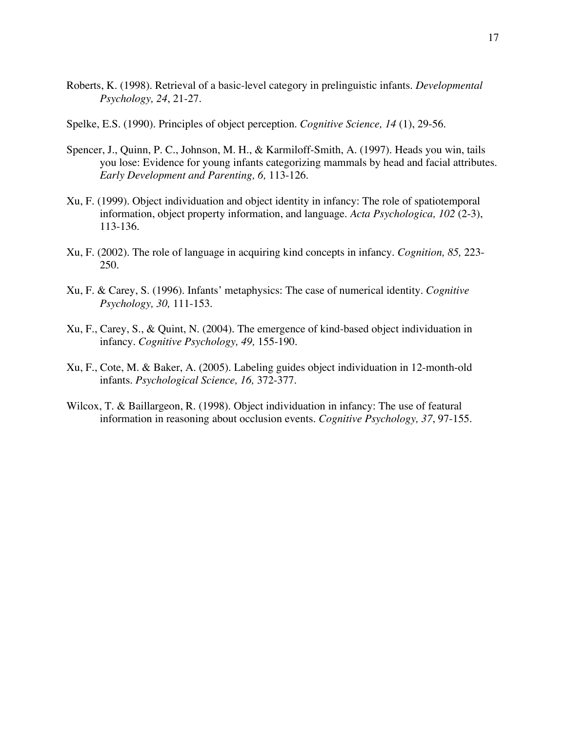- Roberts, K. (1998). Retrieval of a basic-level category in prelinguistic infants. *Developmental Psychology, 24*, 21-27.
- Spelke, E.S. (1990). Principles of object perception. *Cognitive Science, 14* (1), 29-56.
- Spencer, J., Quinn, P. C., Johnson, M. H., & Karmiloff-Smith, A. (1997). Heads you win, tails you lose: Evidence for young infants categorizing mammals by head and facial attributes. *Early Development and Parenting, 6,* 113-126.
- Xu, F. (1999). Object individuation and object identity in infancy: The role of spatiotemporal information, object property information, and language. *Acta Psychologica, 102* (2-3), 113-136.
- Xu, F. (2002). The role of language in acquiring kind concepts in infancy. *Cognition, 85,* 223- 250.
- Xu, F. & Carey, S. (1996). Infants' metaphysics: The case of numerical identity. *Cognitive Psychology, 30,* 111-153.
- Xu, F., Carey, S., & Quint, N. (2004). The emergence of kind-based object individuation in infancy. *Cognitive Psychology, 49,* 155-190.
- Xu, F., Cote, M. & Baker, A. (2005). Labeling guides object individuation in 12-month-old infants. *Psychological Science, 16,* 372-377.
- Wilcox, T. & Baillargeon, R. (1998). Object individuation in infancy: The use of featural information in reasoning about occlusion events. *Cognitive Psychology, 37*, 97-155.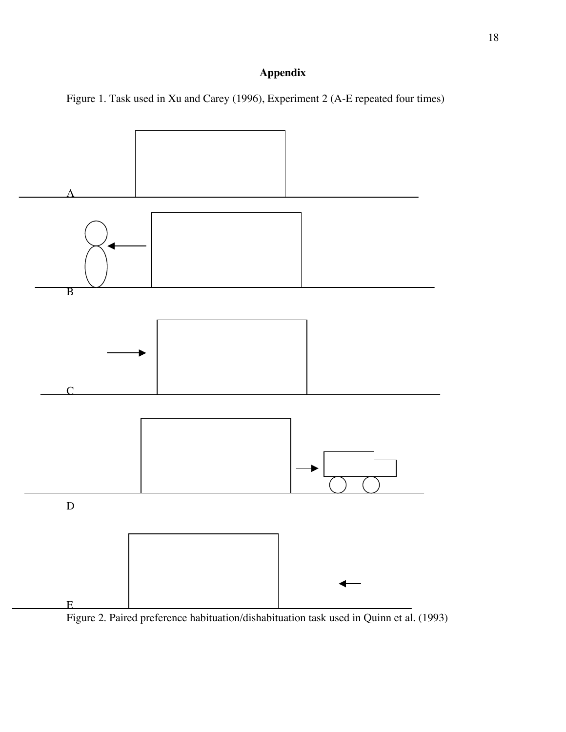# **Appendix**

Figure 1. Task used in Xu and Carey (1996), Experiment 2 (A-E repeated four times)



Figure 2. Paired preference habituation/dishabituation task used in Quinn et al. (1993)